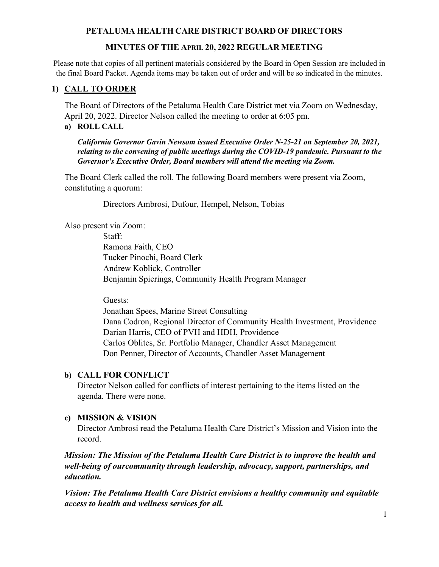# **MINUTES OF THE APRIL 20, 2022 REGULAR MEETING**

Please note that copies of all pertinent materials considered by the Board in Open Session are included in the final Board Packet. Agenda items may be taken out of order and will be so indicated in the minutes.

# **1) CALL TO ORDER**

The Board of Directors of the Petaluma Health Care District met via Zoom on Wednesday, April 20, 2022. Director Nelson called the meeting to order at 6:05 pm. **a) ROLL CALL**

*California Governor Gavin Newsom issued Executive Order N-25-21 on September 20, 2021, relating to the convening of public meetings during the COVID-19 pandemic. Pursuant to the Governor's Executive Order, Board members will attend the meeting via Zoom.*

The Board Clerk called the roll. The following Board members were present via Zoom, constituting a quorum:

Directors Ambrosi, Dufour, Hempel, Nelson, Tobias

Also present via Zoom:

 Staff: Ramona Faith, CEO Tucker Pinochi, Board Clerk Andrew Koblick, Controller Benjamin Spierings, Community Health Program Manager

Guests:

 Jonathan Spees, Marine Street Consulting Dana Codron, Regional Director of Community Health Investment, Providence Darian Harris, CEO of PVH and HDH, Providence Carlos Oblites, Sr. Portfolio Manager, Chandler Asset Management Don Penner, Director of Accounts, Chandler Asset Management

# **b) CALL FOR CONFLICT**

Director Nelson called for conflicts of interest pertaining to the items listed on the agenda. There were none.

# **c) MISSION & VISION**

Director Ambrosi read the Petaluma Health Care District's Mission and Vision into the record.

*Mission: The Mission of the Petaluma Health Care District is to improve the health and well-being of our community through leadership, advocacy, support, partnerships, and education.*

*Vision: The Petaluma Health Care District envisions a healthy community and equitable access to health and wellness services for all.*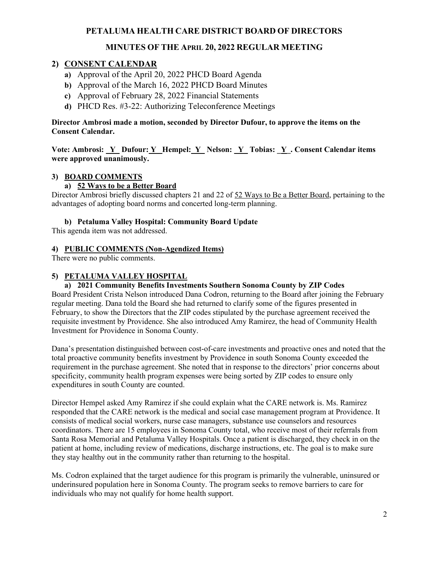# **MINUTES OF THE APRIL 20, 2022 REGULAR MEETING**

## **2) CONSENT CALENDAR**

- **a)** Approval of the April 20, 2022 PHCD Board Agenda
- **b)** Approval of the March 16, 2022 PHCD Board Minutes
- **c)** Approval of February 28, 2022 Financial Statements
- **d)** PHCD Res. #3-22: Authorizing Teleconference Meetings

**Director Ambrosi made a motion, seconded by Director Dufour, to approve the items on the Consent Calendar.**

**Vote: Ambrosi: \_Y Dufour: Y\_ Hempel: Y\_ Nelson: \_Y\_ Tobias: \_Y\_. Consent Calendar items were approved unanimously.** 

#### **3) BOARD COMMENTS**

### **a) 52 Ways to be a Better Board**

Director Ambrosi briefly discussed chapters 21 and 22 of 52 Ways to Be a Better Board, pertaining to the advantages of adopting board norms and concerted long-term planning.

#### **b) Petaluma Valley Hospital: Community Board Update**

This agenda item was not addressed.

#### **4) PUBLIC COMMENTS (Non-Agendized Items)**

There were no public comments.

#### **5) PETALUMA VALLEY HOSPITAL**

## **a) 2021 Community Benefits Investments Southern Sonoma County by ZIP Codes**

Board President Crista Nelson introduced Dana Codron, returning to the Board after joining the February regular meeting. Dana told the Board she had returned to clarify some of the figures presented in February, to show the Directors that the ZIP codes stipulated by the purchase agreement received the requisite investment by Providence. She also introduced Amy Ramirez, the head of Community Health Investment for Providence in Sonoma County.

Dana's presentation distinguished between cost-of-care investments and proactive ones and noted that the total proactive community benefits investment by Providence in south Sonoma County exceeded the requirement in the purchase agreement. She noted that in response to the directors' prior concerns about specificity, community health program expenses were being sorted by ZIP codes to ensure only expenditures in south County are counted.

Director Hempel asked Amy Ramirez if she could explain what the CARE network is. Ms. Ramirez responded that the CARE network is the medical and social case management program at Providence. It consists of medical social workers, nurse case managers, substance use counselors and resources coordinators. There are 15 employees in Sonoma County total, who receive most of their referrals from Santa Rosa Memorial and Petaluma Valley Hospitals. Once a patient is discharged, they check in on the patient at home, including review of medications, discharge instructions, etc. The goal is to make sure they stay healthy out in the community rather than returning to the hospital.

Ms. Codron explained that the target audience for this program is primarily the vulnerable, uninsured or underinsured population here in Sonoma County. The program seeks to remove barriers to care for individuals who may not qualify for home health support.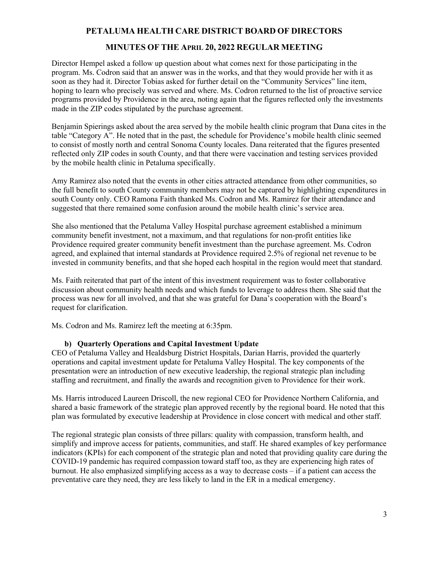# **MINUTES OF THE APRIL 20, 2022 REGULAR MEETING**

Director Hempel asked a follow up question about what comes next for those participating in the program. Ms. Codron said that an answer was in the works, and that they would provide her with it as soon as they had it. Director Tobias asked for further detail on the "Community Services" line item, hoping to learn who precisely was served and where. Ms. Codron returned to the list of proactive service programs provided by Providence in the area, noting again that the figures reflected only the investments made in the ZIP codes stipulated by the purchase agreement.

Benjamin Spierings asked about the area served by the mobile health clinic program that Dana cites in the table "Category A". He noted that in the past, the schedule for Providence's mobile health clinic seemed to consist of mostly north and central Sonoma County locales. Dana reiterated that the figures presented reflected only ZIP codes in south County, and that there were vaccination and testing services provided by the mobile health clinic in Petaluma specifically.

Amy Ramirez also noted that the events in other cities attracted attendance from other communities, so the full benefit to south County community members may not be captured by highlighting expenditures in south County only. CEO Ramona Faith thanked Ms. Codron and Ms. Ramirez for their attendance and suggested that there remained some confusion around the mobile health clinic's service area.

She also mentioned that the Petaluma Valley Hospital purchase agreement established a minimum community benefit investment, not a maximum, and that regulations for non-profit entities like Providence required greater community benefit investment than the purchase agreement. Ms. Codron agreed, and explained that internal standards at Providence required 2.5% of regional net revenue to be invested in community benefits, and that she hoped each hospital in the region would meet that standard.

Ms. Faith reiterated that part of the intent of this investment requirement was to foster collaborative discussion about community health needs and which funds to leverage to address them. She said that the process was new for all involved, and that she was grateful for Dana's cooperation with the Board's request for clarification.

Ms. Codron and Ms. Ramirez left the meeting at 6:35pm.

#### **b) Quarterly Operations and Capital Investment Update**

CEO of Petaluma Valley and Healdsburg District Hospitals, Darian Harris, provided the quarterly operations and capital investment update for Petaluma Valley Hospital. The key components of the presentation were an introduction of new executive leadership, the regional strategic plan including staffing and recruitment, and finally the awards and recognition given to Providence for their work.

Ms. Harris introduced Laureen Driscoll, the new regional CEO for Providence Northern California, and shared a basic framework of the strategic plan approved recently by the regional board. He noted that this plan was formulated by executive leadership at Providence in close concert with medical and other staff.

The regional strategic plan consists of three pillars: quality with compassion, transform health, and simplify and improve access for patients, communities, and staff. He shared examples of key performance indicators (KPIs) for each component of the strategic plan and noted that providing quality care during the COVID-19 pandemic has required compassion toward staff too, as they are experiencing high rates of burnout. He also emphasized simplifying access as a way to decrease costs – if a patient can access the preventative care they need, they are less likely to land in the ER in a medical emergency.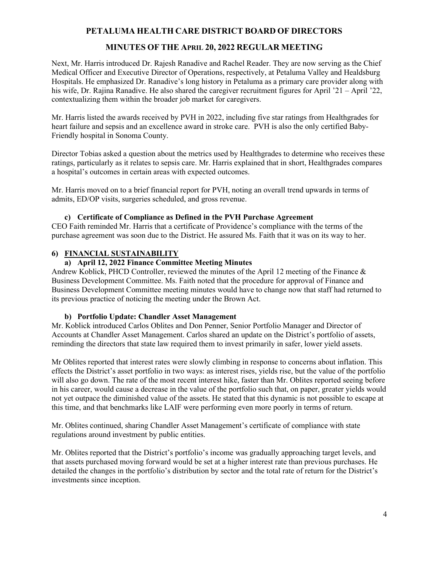# **MINUTES OF THE APRIL 20, 2022 REGULAR MEETING**

Next, Mr. Harris introduced Dr. Rajesh Ranadive and Rachel Reader. They are now serving as the Chief Medical Officer and Executive Director of Operations, respectively, at Petaluma Valley and Healdsburg Hospitals. He emphasized Dr. Ranadive's long history in Petaluma as a primary care provider along with his wife, Dr. Rajina Ranadive. He also shared the caregiver recruitment figures for April '21 – April '22, contextualizing them within the broader job market for caregivers.

Mr. Harris listed the awards received by PVH in 2022, including five star ratings from Healthgrades for heart failure and sepsis and an excellence award in stroke care. PVH is also the only certified Baby-Friendly hospital in Sonoma County.

Director Tobias asked a question about the metrics used by Healthgrades to determine who receives these ratings, particularly as it relates to sepsis care. Mr. Harris explained that in short, Healthgrades compares a hospital's outcomes in certain areas with expected outcomes.

Mr. Harris moved on to a brief financial report for PVH, noting an overall trend upwards in terms of admits, ED/OP visits, surgeries scheduled, and gross revenue.

### **c) Certificate of Compliance as Defined in the PVH Purchase Agreement**

CEO Faith reminded Mr. Harris that a certificate of Providence's compliance with the terms of the purchase agreement was soon due to the District. He assured Ms. Faith that it was on its way to her.

### **6) FINANCIAL SUSTAINABILITY**

## **a) April 12, 2022 Finance Committee Meeting Minutes**

Andrew Koblick, PHCD Controller, reviewed the minutes of the April 12 meeting of the Finance & Business Development Committee. Ms. Faith noted that the procedure for approval of Finance and Business Development Committee meeting minutes would have to change now that staff had returned to its previous practice of noticing the meeting under the Brown Act.

#### **b) Portfolio Update: Chandler Asset Management**

Mr. Koblick introduced Carlos Oblites and Don Penner, Senior Portfolio Manager and Director of Accounts at Chandler Asset Management. Carlos shared an update on the District's portfolio of assets, reminding the directors that state law required them to invest primarily in safer, lower yield assets.

Mr Oblites reported that interest rates were slowly climbing in response to concerns about inflation. This effects the District's asset portfolio in two ways: as interest rises, yields rise, but the value of the portfolio will also go down. The rate of the most recent interest hike, faster than Mr. Oblites reported seeing before in his career, would cause a decrease in the value of the portfolio such that, on paper, greater yields would not yet outpace the diminished value of the assets. He stated that this dynamic is not possible to escape at this time, and that benchmarks like LAIF were performing even more poorly in terms of return.

Mr. Oblites continued, sharing Chandler Asset Management's certificate of compliance with state regulations around investment by public entities.

Mr. Oblites reported that the District's portfolio's income was gradually approaching target levels, and that assets purchased moving forward would be set at a higher interest rate than previous purchases. He detailed the changes in the portfolio's distribution by sector and the total rate of return for the District's investments since inception.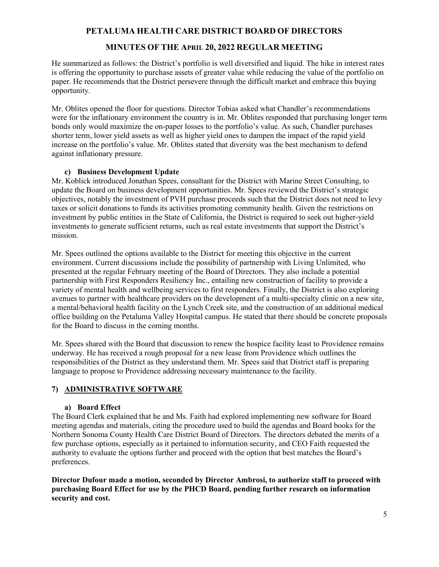# **MINUTES OF THE APRIL 20, 2022 REGULAR MEETING**

He summarized as follows: the District's portfolio is well diversified and liquid. The hike in interest rates is offering the opportunity to purchase assets of greater value while reducing the value of the portfolio on paper. He recommends that the District persevere through the difficult market and embrace this buying opportunity.

Mr. Oblites opened the floor for questions. Director Tobias asked what Chandler's recommendations were for the inflationary environment the country is in. Mr. Oblites responded that purchasing longer term bonds only would maximize the on-paper losses to the portfolio's value. As such, Chandler purchases shorter term, lower yield assets as well as higher yield ones to dampen the impact of the rapid yield increase on the portfolio's value. Mr. Oblites stated that diversity was the best mechanism to defend against inflationary pressure.

### **c) Business Development Update**

Mr. Koblick introduced Jonathan Spees, consultant for the District with Marine Street Consulting, to update the Board on business development opportunities. Mr. Spees reviewed the District's strategic objectives, notably the investment of PVH purchase proceeds such that the District does not need to levy taxes or solicit donations to funds its activities promoting community health. Given the restrictions on investment by public entities in the State of California, the District is required to seek out higher-yield investments to generate sufficient returns, such as real estate investments that support the District's mission.

Mr. Spees outlined the options available to the District for meeting this objective in the current environment. Current discussions include the possibility of partnership with Living Unlimited, who presented at the regular February meeting of the Board of Directors. They also include a potential partnership with First Responders Resiliency Inc., entailing new construction of facility to provide a variety of mental health and wellbeing services to first responders. Finally, the District is also exploring avenues to partner with healthcare providers on the development of a multi-specialty clinic on a new site, a mental/behavioral health facility on the Lynch Creek site, and the construction of an additional medical office building on the Petaluma Valley Hospital campus. He stated that there should be concrete proposals for the Board to discuss in the coming months.

Mr. Spees shared with the Board that discussion to renew the hospice facility least to Providence remains underway. He has received a rough proposal for a new lease from Providence which outlines the responsibilities of the District as they understand them. Mr. Spees said that District staff is preparing language to propose to Providence addressing necessary maintenance to the facility.

### **7) ADMINISTRATIVE SOFTWARE**

### **a) Board Effect**

The Board Clerk explained that he and Ms. Faith had explored implementing new software for Board meeting agendas and materials, citing the procedure used to build the agendas and Board books for the Northern Sonoma County Health Care District Board of Directors. The directors debated the merits of a few purchase options, especially as it pertained to information security, and CEO Faith requested the authority to evaluate the options further and proceed with the option that best matches the Board's preferences.

**Director Dufour made a motion, seconded by Director Ambrosi, to authorize staff to proceed with purchasing Board Effect for use by the PHCD Board, pending further research on information security and cost.**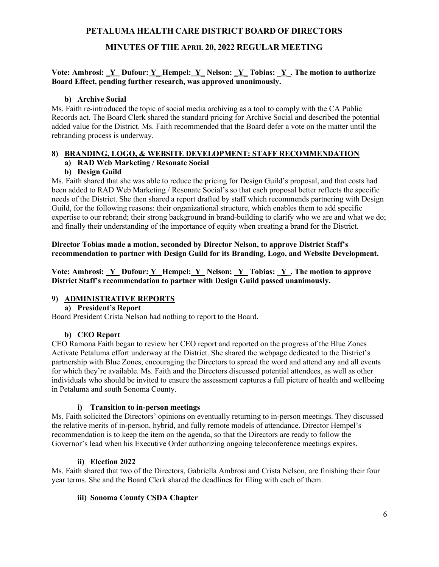# **MINUTES OF THE APRIL 20, 2022 REGULAR MEETING**

#### **Vote: Ambrosi: \_Y Dufour: Y\_ Hempel: Y\_ Nelson: \_Y\_ Tobias: \_Y\_. The motion to authorize Board Effect, pending further research, was approved unanimously.**

#### **b) Archive Social**

Ms. Faith re-introduced the topic of social media archiving as a tool to comply with the CA Public Records act. The Board Clerk shared the standard pricing for Archive Social and described the potential added value for the District. Ms. Faith recommended that the Board defer a vote on the matter until the rebranding process is underway.

### **8) BRANDING, LOGO, & WEBSITE DEVELOPMENT: STAFF RECOMMENDATION**

# **a) RAD Web Marketing / Resonate Social**

### **b) Design Guild**

Ms. Faith shared that she was able to reduce the pricing for Design Guild's proposal, and that costs had been added to RAD Web Marketing / Resonate Social's so that each proposal better reflects the specific needs of the District. She then shared a report drafted by staff which recommends partnering with Design Guild, for the following reasons: their organizational structure, which enables them to add specific expertise to our rebrand; their strong background in brand-building to clarify who we are and what we do; and finally their understanding of the importance of equity when creating a brand for the District.

### **Director Tobias made a motion, seconded by Director Nelson, to approve District Staff's recommendation to partner with Design Guild for its Branding, Logo, and Website Development.**

Vote: Ambrosi: <u>Y\_</u> Dufour: <u>Y\_</u> Hempel: <u>Y\_</u> Nelson: <u>Y\_</u> Tobias: <u>Y\_</u>. The motion to approve **District Staff's recommendation to partner with Design Guild passed unanimously.** 

### **9) ADMINISTRATIVE REPORTS**

### **a) President's Report**

Board President Crista Nelson had nothing to report to the Board.

### **b) CEO Report**

CEO Ramona Faith began to review her CEO report and reported on the progress of the Blue Zones Activate Petaluma effort underway at the District. She shared the webpage dedicated to the District's partnership with Blue Zones, encouraging the Directors to spread the word and attend any and all events for which they're available. Ms. Faith and the Directors discussed potential attendees, as well as other individuals who should be invited to ensure the assessment captures a full picture of health and wellbeing in Petaluma and south Sonoma County.

#### **i) Transition to in-person meetings**

Ms. Faith solicited the Directors' opinions on eventually returning to in-person meetings. They discussed the relative merits of in-person, hybrid, and fully remote models of attendance. Director Hempel's recommendation is to keep the item on the agenda, so that the Directors are ready to follow the Governor's lead when his Executive Order authorizing ongoing teleconference meetings expires.

#### **ii) Election 2022**

Ms. Faith shared that two of the Directors, Gabriella Ambrosi and Crista Nelson, are finishing their four year terms. She and the Board Clerk shared the deadlines for filing with each of them.

#### **iii) Sonoma County CSDA Chapter**